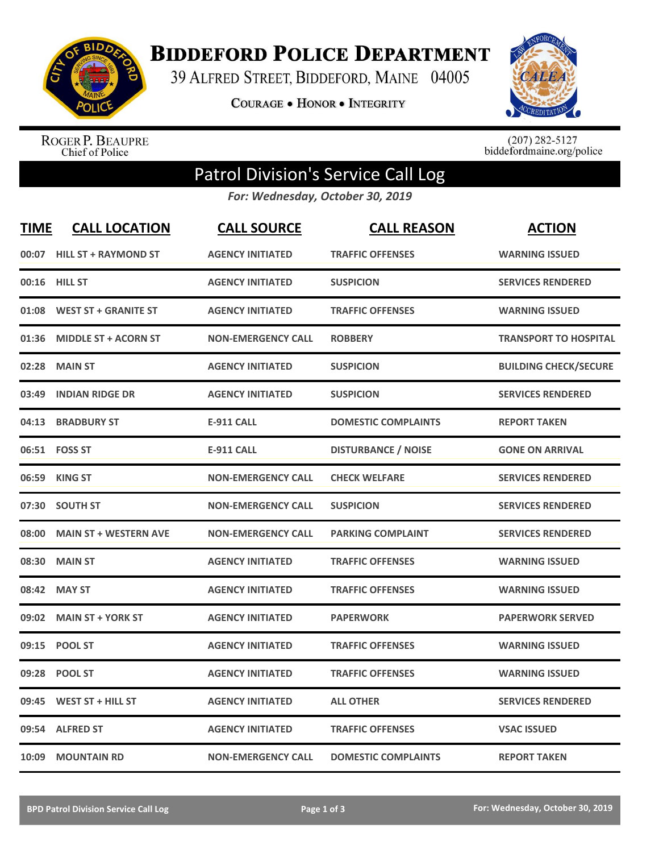

**BIDDEFORD POLICE DEPARTMENT** 

39 ALFRED STREET, BIDDEFORD, MAINE 04005

**COURAGE . HONOR . INTEGRITY** 



ROGER P. BEAUPRE<br>Chief of Police

 $(207)$  282-5127<br>biddefordmaine.org/police

## Patrol Division's Service Call Log

*For: Wednesday, October 30, 2019*

| <b>TIME</b> | <b>CALL LOCATION</b>         | <b>CALL SOURCE</b>        | <b>CALL REASON</b>         | <b>ACTION</b>                |
|-------------|------------------------------|---------------------------|----------------------------|------------------------------|
| 00:07       | <b>HILL ST + RAYMOND ST</b>  | <b>AGENCY INITIATED</b>   | <b>TRAFFIC OFFENSES</b>    | <b>WARNING ISSUED</b>        |
|             | 00:16 HILL ST                | <b>AGENCY INITIATED</b>   | <b>SUSPICION</b>           | <b>SERVICES RENDERED</b>     |
| 01:08       | <b>WEST ST + GRANITE ST</b>  | <b>AGENCY INITIATED</b>   | <b>TRAFFIC OFFENSES</b>    | <b>WARNING ISSUED</b>        |
| 01:36       | <b>MIDDLE ST + ACORN ST</b>  | <b>NON-EMERGENCY CALL</b> | <b>ROBBERY</b>             | <b>TRANSPORT TO HOSPITAL</b> |
| 02:28       | <b>MAIN ST</b>               | <b>AGENCY INITIATED</b>   | <b>SUSPICION</b>           | <b>BUILDING CHECK/SECURE</b> |
| 03:49       | <b>INDIAN RIDGE DR</b>       | <b>AGENCY INITIATED</b>   | <b>SUSPICION</b>           | <b>SERVICES RENDERED</b>     |
| 04:13       | <b>BRADBURY ST</b>           | <b>E-911 CALL</b>         | <b>DOMESTIC COMPLAINTS</b> | <b>REPORT TAKEN</b>          |
|             | 06:51 FOSS ST                | <b>E-911 CALL</b>         | <b>DISTURBANCE / NOISE</b> | <b>GONE ON ARRIVAL</b>       |
| 06:59       | <b>KING ST</b>               | <b>NON-EMERGENCY CALL</b> | <b>CHECK WELFARE</b>       | <b>SERVICES RENDERED</b>     |
| 07:30       | <b>SOUTH ST</b>              | <b>NON-EMERGENCY CALL</b> | <b>SUSPICION</b>           | <b>SERVICES RENDERED</b>     |
| 08:00       | <b>MAIN ST + WESTERN AVE</b> | <b>NON-EMERGENCY CALL</b> | <b>PARKING COMPLAINT</b>   | <b>SERVICES RENDERED</b>     |
| 08:30       | <b>MAIN ST</b>               | <b>AGENCY INITIATED</b>   | <b>TRAFFIC OFFENSES</b>    | <b>WARNING ISSUED</b>        |
| 08:42       | <b>MAY ST</b>                | <b>AGENCY INITIATED</b>   | <b>TRAFFIC OFFENSES</b>    | <b>WARNING ISSUED</b>        |
| 09:02       | <b>MAIN ST + YORK ST</b>     | <b>AGENCY INITIATED</b>   | <b>PAPERWORK</b>           | <b>PAPERWORK SERVED</b>      |
| 09:15       | <b>POOL ST</b>               | <b>AGENCY INITIATED</b>   | <b>TRAFFIC OFFENSES</b>    | <b>WARNING ISSUED</b>        |
| 09:28       | <b>POOL ST</b>               | <b>AGENCY INITIATED</b>   | <b>TRAFFIC OFFENSES</b>    | <b>WARNING ISSUED</b>        |
| 09:45       | WEST ST + HILL ST            | <b>AGENCY INITIATED</b>   | <b>ALL OTHER</b>           | <b>SERVICES RENDERED</b>     |
| 09:54       | <b>ALFRED ST</b>             | <b>AGENCY INITIATED</b>   | <b>TRAFFIC OFFENSES</b>    | <b>VSAC ISSUED</b>           |
| 10:09       | <b>MOUNTAIN RD</b>           | <b>NON-EMERGENCY CALL</b> | <b>DOMESTIC COMPLAINTS</b> | <b>REPORT TAKEN</b>          |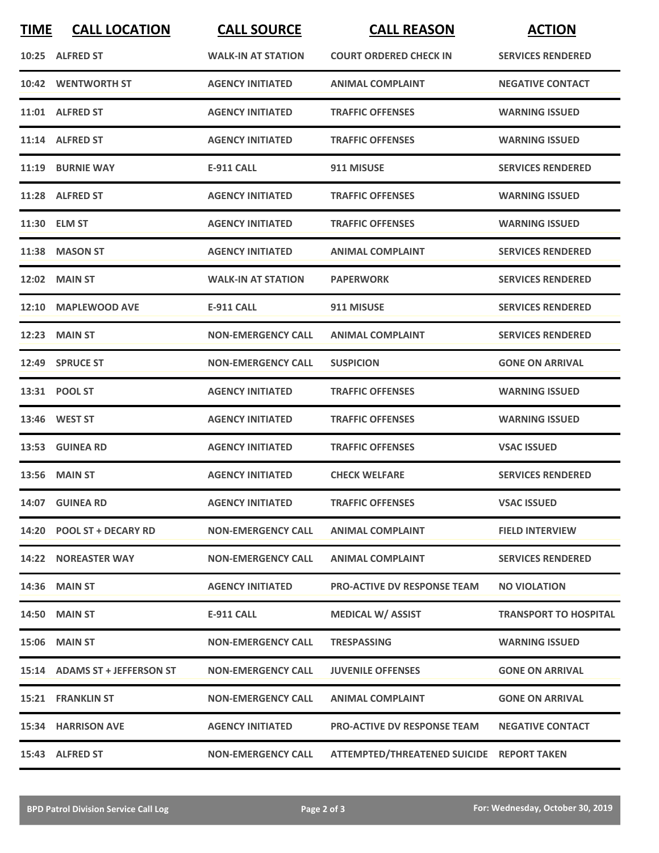| <b>TIME</b> | <b>CALL LOCATION</b>          | <b>CALL SOURCE</b>        | <b>CALL REASON</b>                        | <b>ACTION</b>                |
|-------------|-------------------------------|---------------------------|-------------------------------------------|------------------------------|
|             | 10:25 ALFRED ST               | <b>WALK-IN AT STATION</b> | <b>COURT ORDERED CHECK IN</b>             | <b>SERVICES RENDERED</b>     |
|             | 10:42 WENTWORTH ST            | <b>AGENCY INITIATED</b>   | <b>ANIMAL COMPLAINT</b>                   | <b>NEGATIVE CONTACT</b>      |
|             | 11:01 ALFRED ST               | <b>AGENCY INITIATED</b>   | <b>TRAFFIC OFFENSES</b>                   | <b>WARNING ISSUED</b>        |
|             | 11:14 ALFRED ST               | <b>AGENCY INITIATED</b>   | <b>TRAFFIC OFFENSES</b>                   | <b>WARNING ISSUED</b>        |
|             | 11:19 BURNIE WAY              | <b>E-911 CALL</b>         | 911 MISUSE                                | <b>SERVICES RENDERED</b>     |
|             | 11:28 ALFRED ST               | <b>AGENCY INITIATED</b>   | <b>TRAFFIC OFFENSES</b>                   | <b>WARNING ISSUED</b>        |
|             | 11:30 ELM ST                  | <b>AGENCY INITIATED</b>   | <b>TRAFFIC OFFENSES</b>                   | <b>WARNING ISSUED</b>        |
|             | 11:38 MASON ST                | <b>AGENCY INITIATED</b>   | <b>ANIMAL COMPLAINT</b>                   | <b>SERVICES RENDERED</b>     |
|             | <b>12:02 MAIN ST</b>          | <b>WALK-IN AT STATION</b> | <b>PAPERWORK</b>                          | <b>SERVICES RENDERED</b>     |
|             | 12:10 MAPLEWOOD AVE           | E-911 CALL                | 911 MISUSE                                | <b>SERVICES RENDERED</b>     |
|             | <b>12:23 MAIN ST</b>          | <b>NON-EMERGENCY CALL</b> | <b>ANIMAL COMPLAINT</b>                   | <b>SERVICES RENDERED</b>     |
|             | 12:49 SPRUCE ST               | <b>NON-EMERGENCY CALL</b> | <b>SUSPICION</b>                          | <b>GONE ON ARRIVAL</b>       |
|             | 13:31 POOL ST                 | <b>AGENCY INITIATED</b>   | <b>TRAFFIC OFFENSES</b>                   | <b>WARNING ISSUED</b>        |
|             | 13:46 WEST ST                 | <b>AGENCY INITIATED</b>   | <b>TRAFFIC OFFENSES</b>                   | <b>WARNING ISSUED</b>        |
|             | 13:53 GUINEA RD               | <b>AGENCY INITIATED</b>   | <b>TRAFFIC OFFENSES</b>                   | <b>VSAC ISSUED</b>           |
|             | <b>13:56 MAIN ST</b>          | <b>AGENCY INITIATED</b>   | <b>CHECK WELFARE</b>                      | <b>SERVICES RENDERED</b>     |
|             | 14:07 GUINEA RD               | <b>AGENCY INITIATED</b>   | <b>TRAFFIC OFFENSES</b>                   | <b>VSAC ISSUED</b>           |
|             | 14:20 POOL ST + DECARY RD     | <b>NON-EMERGENCY CALL</b> | <b>ANIMAL COMPLAINT</b>                   | <b>FIELD INTERVIEW</b>       |
|             | <b>14:22 NOREASTER WAY</b>    | <b>NON-EMERGENCY CALL</b> | <b>ANIMAL COMPLAINT</b>                   | <b>SERVICES RENDERED</b>     |
|             | 14:36 MAIN ST                 | <b>AGENCY INITIATED</b>   | <b>PRO-ACTIVE DV RESPONSE TEAM</b>        | <b>NO VIOLATION</b>          |
|             | <b>14:50 MAIN ST</b>          | <b>E-911 CALL</b>         | <b>MEDICAL W/ ASSIST</b>                  | <b>TRANSPORT TO HOSPITAL</b> |
|             | <b>15:06 MAIN ST</b>          | <b>NON-EMERGENCY CALL</b> | <b>TRESPASSING</b>                        | <b>WARNING ISSUED</b>        |
|             | 15:14 ADAMS ST + JEFFERSON ST | <b>NON-EMERGENCY CALL</b> | <b>JUVENILE OFFENSES</b>                  | <b>GONE ON ARRIVAL</b>       |
|             | 15:21 FRANKLIN ST             | <b>NON-EMERGENCY CALL</b> | <b>ANIMAL COMPLAINT</b>                   | <b>GONE ON ARRIVAL</b>       |
|             | 15:34 HARRISON AVE            | <b>AGENCY INITIATED</b>   | <b>PRO-ACTIVE DV RESPONSE TEAM</b>        | <b>NEGATIVE CONTACT</b>      |
|             | 15:43 ALFRED ST               | <b>NON-EMERGENCY CALL</b> | ATTEMPTED/THREATENED SUICIDE REPORT TAKEN |                              |